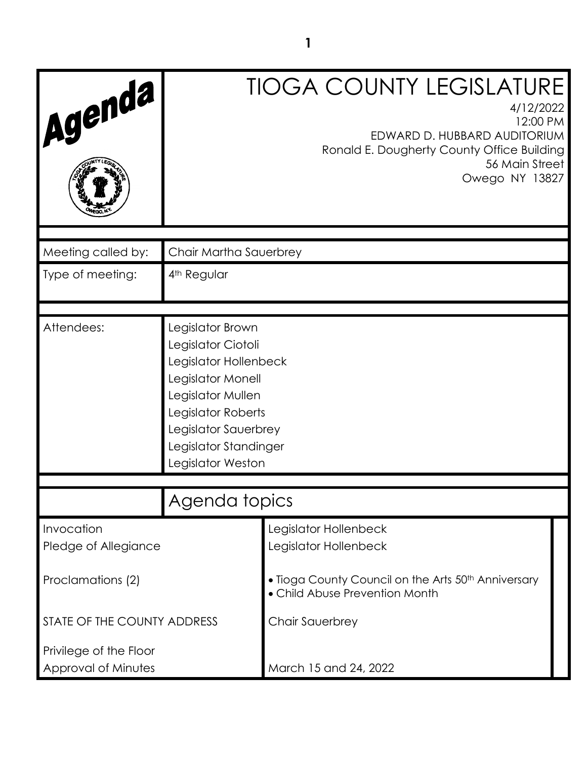| Agenda                             |                                                                                                                                                                                                       | <b>TIOGA COUNTY LEGISLATURE</b><br>4/12/2022<br>12:00 PM<br>EDWARD D. HUBBARD AUDITORIUM<br>Ronald E. Dougherty County Office Building<br>56 Main Street<br>Owego NY 13827 |
|------------------------------------|-------------------------------------------------------------------------------------------------------------------------------------------------------------------------------------------------------|----------------------------------------------------------------------------------------------------------------------------------------------------------------------------|
| Meeting called by:                 | Chair Martha Sauerbrey                                                                                                                                                                                |                                                                                                                                                                            |
| Type of meeting:                   | 4 <sup>th</sup> Regular                                                                                                                                                                               |                                                                                                                                                                            |
|                                    |                                                                                                                                                                                                       |                                                                                                                                                                            |
| Attendees:                         | Legislator Brown<br>Legislator Ciotoli<br>Legislator Hollenbeck<br>Legislator Monell<br>Legislator Mullen<br>Legislator Roberts<br>Legislator Sauerbrey<br>Legislator Standinger<br>Legislator Weston |                                                                                                                                                                            |
|                                    | Agenda topics                                                                                                                                                                                         |                                                                                                                                                                            |
|                                    |                                                                                                                                                                                                       |                                                                                                                                                                            |
| Invocation<br>Pledge of Allegiance |                                                                                                                                                                                                       | Legislator Hollenbeck<br>Legislator Hollenbeck                                                                                                                             |
| Proclamations (2)                  |                                                                                                                                                                                                       | • Tioga County Council on the Arts 50 <sup>th</sup> Anniversary<br>• Child Abuse Prevention Month                                                                          |
| STATE OF THE COUNTY ADDRESS        |                                                                                                                                                                                                       | Chair Sauerbrey                                                                                                                                                            |
| Privilege of the Floor             |                                                                                                                                                                                                       |                                                                                                                                                                            |
| Approval of Minutes                |                                                                                                                                                                                                       | March 15 and 24, 2022                                                                                                                                                      |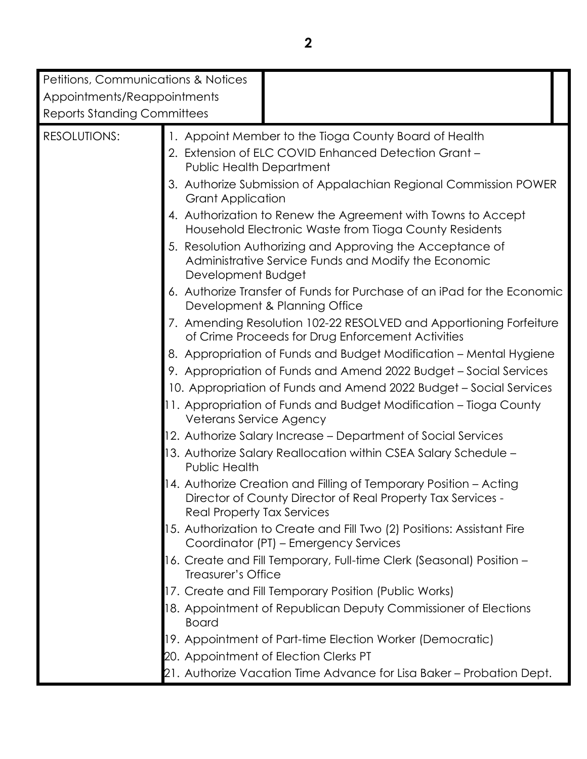| Petitions, Communications & Notices |                                                                                                                                                                |
|-------------------------------------|----------------------------------------------------------------------------------------------------------------------------------------------------------------|
| Appointments/Reappointments         |                                                                                                                                                                |
| <b>Reports Standing Committees</b>  |                                                                                                                                                                |
| <b>RESOLUTIONS:</b>                 | 1. Appoint Member to the Tioga County Board of Health<br>2. Extension of ELC COVID Enhanced Detection Grant -                                                  |
|                                     | <b>Public Health Department</b>                                                                                                                                |
|                                     | 3. Authorize Submission of Appalachian Regional Commission POWER<br><b>Grant Application</b>                                                                   |
|                                     | 4. Authorization to Renew the Agreement with Towns to Accept<br>Household Electronic Waste from Tioga County Residents                                         |
|                                     | 5. Resolution Authorizing and Approving the Acceptance of<br>Administrative Service Funds and Modify the Economic<br>Development Budget                        |
|                                     | 6. Authorize Transfer of Funds for Purchase of an iPad for the Economic<br>Development & Planning Office                                                       |
|                                     | 7. Amending Resolution 102-22 RESOLVED and Apportioning Forfeiture<br>of Crime Proceeds for Drug Enforcement Activities                                        |
|                                     | 8. Appropriation of Funds and Budget Modification - Mental Hygiene                                                                                             |
|                                     | 9. Appropriation of Funds and Amend 2022 Budget - Social Services                                                                                              |
|                                     | 10. Appropriation of Funds and Amend 2022 Budget - Social Services                                                                                             |
|                                     | 11. Appropriation of Funds and Budget Modification - Tioga County<br>Veterans Service Agency                                                                   |
|                                     | 12. Authorize Salary Increase - Department of Social Services                                                                                                  |
|                                     | 13. Authorize Salary Reallocation within CSEA Salary Schedule –<br>Public Health                                                                               |
|                                     | 14. Authorize Creation and Filling of Temporary Position – Acting<br>Director of County Director of Real Property Tax Services -<br>Real Property Tax Services |
|                                     | 15. Authorization to Create and Fill Two (2) Positions: Assistant Fire<br>Coordinator (PT) – Emergency Services                                                |
|                                     | 16. Create and Fill Temporary, Full-time Clerk (Seasonal) Position -<br>Treasurer's Office                                                                     |
|                                     | 17. Create and Fill Temporary Position (Public Works)                                                                                                          |
|                                     | 18. Appointment of Republican Deputy Commissioner of Elections<br><b>Board</b>                                                                                 |
|                                     | 19. Appointment of Part-time Election Worker (Democratic)                                                                                                      |
|                                     | 20. Appointment of Election Clerks PT                                                                                                                          |
|                                     | 21. Authorize Vacation Time Advance for Lisa Baker – Probation Dept.                                                                                           |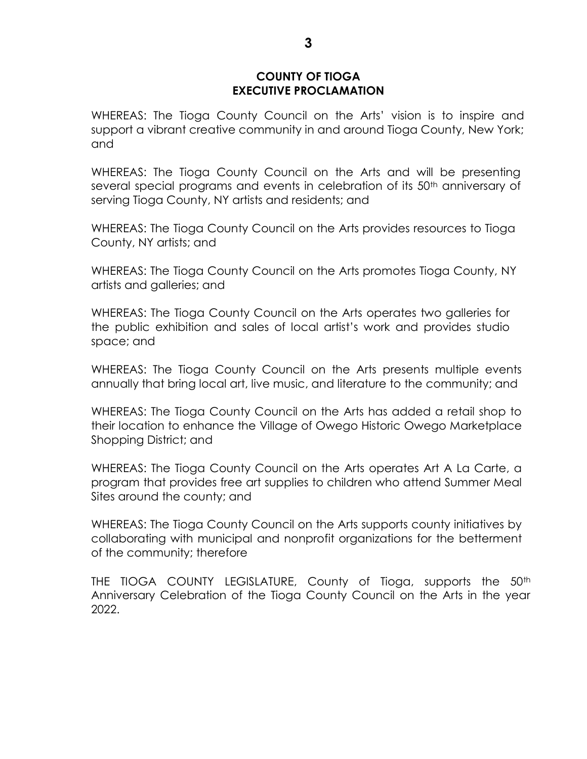#### **COUNTY OF TIOGA EXECUTIVE PROCLAMATION**

WHEREAS: The Tioga County Council on the Arts' vision is to inspire and support a vibrant creative community in and around Tioga County, New York; and

WHEREAS: The Tioga County Council on the Arts and will be presenting several special programs and events in celebration of its 50<sup>th</sup> anniversary of serving Tioga County, NY artists and residents; and

WHEREAS: The Tioga County Council on the Arts provides resources to Tioga County, NY artists; and

WHEREAS: The Tioga County Council on the Arts promotes Tioga County, NY artists and galleries; and

WHEREAS: The Tioga County Council on the Arts operates two galleries for the public exhibition and sales of local artist's work and provides studio space; and

WHEREAS: The Tioga County Council on the Arts presents multiple events annually that bring local art, live music, and literature to the community; and

WHEREAS: The Tioga County Council on the Arts has added a retail shop to their location to enhance the Village of Owego Historic Owego Marketplace Shopping District; and

WHEREAS: The Tioga County Council on the Arts operates Art A La Carte, a program that provides free art supplies to children who attend Summer Meal Sites around the county; and

WHEREAS: The Tioga County Council on the Arts supports county initiatives by collaborating with municipal and nonprofit organizations for the betterment of the community; therefore

THE TIOGA COUNTY LEGISLATURE, County of Tioga, supports the 50<sup>th</sup> Anniversary Celebration of the Tioga County Council on the Arts in the year 2022.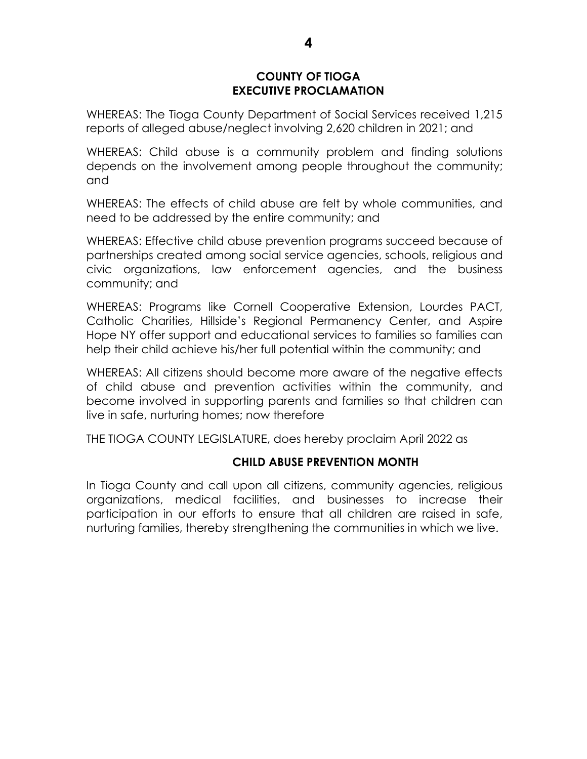### **COUNTY OF TIOGA EXECUTIVE PROCLAMATION**

WHEREAS: The Tioga County Department of Social Services received 1,215 reports of alleged abuse/neglect involving 2,620 children in 2021; and

WHEREAS: Child abuse is a community problem and finding solutions depends on the involvement among people throughout the community; and

WHEREAS: The effects of child abuse are felt by whole communities, and need to be addressed by the entire community; and

WHEREAS: Effective child abuse prevention programs succeed because of partnerships created among social service agencies, schools, religious and civic organizations, law enforcement agencies, and the business community; and

WHEREAS: Programs like Cornell Cooperative Extension, Lourdes PACT, Catholic Charities, Hillside's Regional Permanency Center, and Aspire Hope NY offer support and educational services to families so families can help their child achieve his/her full potential within the community; and

WHEREAS: All citizens should become more aware of the negative effects of child abuse and prevention activities within the community, and become involved in supporting parents and families so that children can live in safe, nurturing homes; now therefore

THE TIOGA COUNTY LEGISLATURE, does hereby proclaim April 2022 as

### **CHILD ABUSE PREVENTION MONTH**

In Tioga County and call upon all citizens, community agencies, religious organizations, medical facilities, and businesses to increase their participation in our efforts to ensure that all children are raised in safe, nurturing families, thereby strengthening the communities in which we live.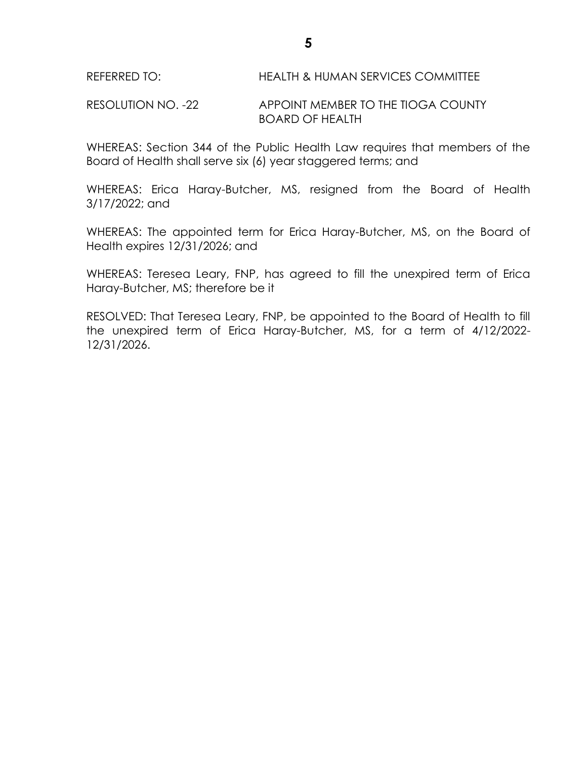RESOLUTION NO. -22 APPOINT MEMBER TO THE TIOGA COUNTY BOARD OF HEALTH

WHEREAS: Section 344 of the Public Health Law requires that members of the Board of Health shall serve six (6) year staggered terms; and

WHEREAS: Erica Haray-Butcher, MS, resigned from the Board of Health 3/17/2022; and

WHEREAS: The appointed term for Erica Haray-Butcher, MS, on the Board of Health expires 12/31/2026; and

WHEREAS: Teresea Leary, FNP, has agreed to fill the unexpired term of Erica Haray-Butcher, MS; therefore be it

RESOLVED: That Teresea Leary, FNP, be appointed to the Board of Health to fill the unexpired term of Erica Haray-Butcher, MS, for a term of 4/12/2022- 12/31/2026.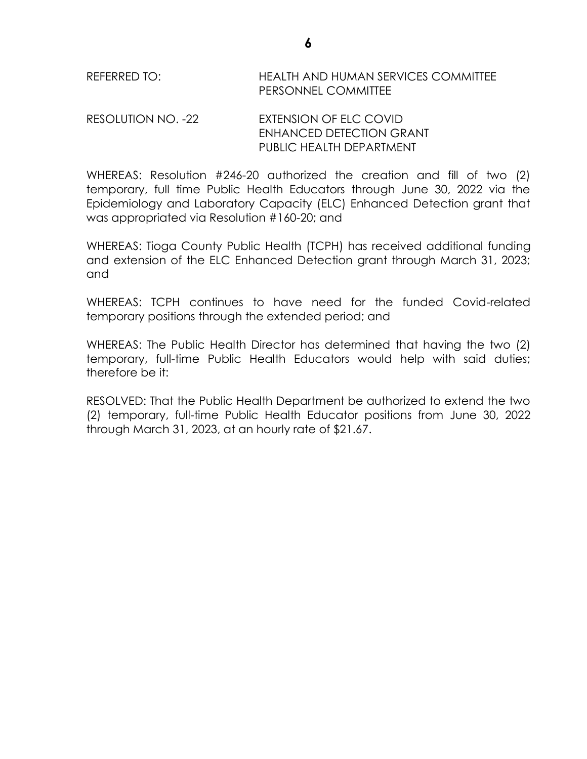REFERRED TO: HEALTH AND HUMAN SERVICES COMMITTEE PERSONNEL COMMITTEE

#### RESOLUTION NO. -22 EXTENSION OF ELC COVID ENHANCED DETECTION GRANT PUBLIC HEALTH DEPARTMENT

WHEREAS: Resolution #246-20 authorized the creation and fill of two (2) temporary, full time Public Health Educators through June 30, 2022 via the Epidemiology and Laboratory Capacity (ELC) Enhanced Detection grant that was appropriated via Resolution #160-20; and

WHEREAS: Tioga County Public Health (TCPH) has received additional funding and extension of the ELC Enhanced Detection grant through March 31, 2023; and

WHEREAS: TCPH continues to have need for the funded Covid-related temporary positions through the extended period; and

WHEREAS: The Public Health Director has determined that having the two (2) temporary, full-time Public Health Educators would help with said duties; therefore be it:

RESOLVED: That the Public Health Department be authorized to extend the two (2) temporary, full-time Public Health Educator positions from June 30, 2022 through March 31, 2023, at an hourly rate of \$21.67.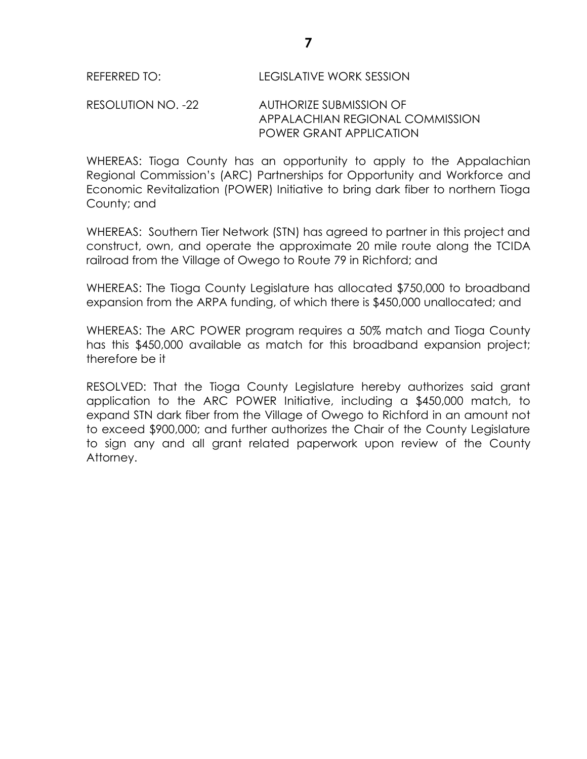### RESOLUTION NO. -22 AUTHORIZE SUBMISSION OF APPALACHIAN REGIONAL COMMISSION POWER GRANT APPLICATION

WHEREAS: Tioga County has an opportunity to apply to the Appalachian Regional Commission's (ARC) Partnerships for Opportunity and Workforce and Economic Revitalization (POWER) Initiative to bring dark fiber to northern Tioga County; and

WHEREAS: Southern Tier Network (STN) has agreed to partner in this project and construct, own, and operate the approximate 20 mile route along the TCIDA railroad from the Village of Owego to Route 79 in Richford; and

WHEREAS: The Tioga County Legislature has allocated \$750,000 to broadband expansion from the ARPA funding, of which there is \$450,000 unallocated; and

WHEREAS: The ARC POWER program requires a 50% match and Tioga County has this \$450,000 available as match for this broadband expansion project; therefore be it

RESOLVED: That the Tioga County Legislature hereby authorizes said grant application to the ARC POWER Initiative, including a \$450,000 match, to expand STN dark fiber from the Village of Owego to Richford in an amount not to exceed \$900,000; and further authorizes the Chair of the County Legislature to sign any and all grant related paperwork upon review of the County Attorney.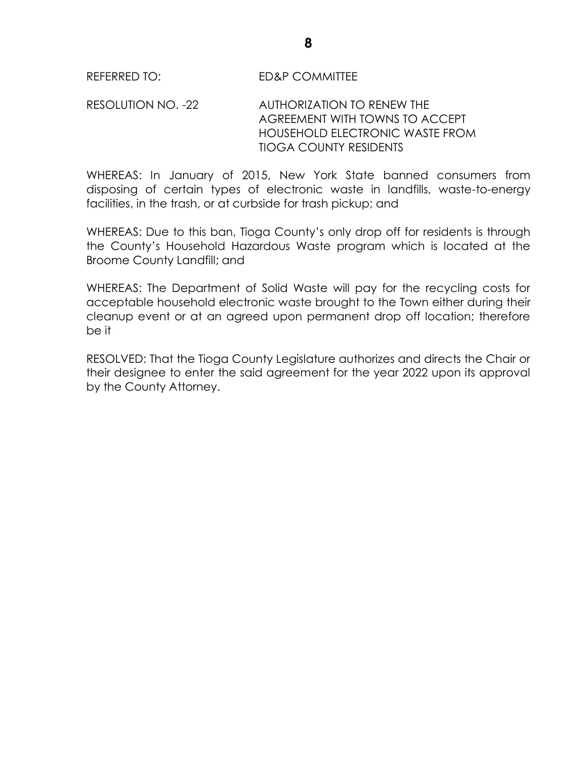RESOLUTION NO. -22 AUTHORIZATION TO RENEW THE AGREEMENT WITH TOWNS TO ACCEPT HOUSEHOLD ELECTRONIC WASTE FROM TIOGA COUNTY RESIDENTS

WHEREAS: In January of 2015, New York State banned consumers from disposing of certain types of electronic waste in landfills, waste-to-energy facilities, in the trash, or at curbside for trash pickup; and

WHEREAS: Due to this ban, Tioga County's only drop off for residents is through the County's Household Hazardous Waste program which is located at the Broome County Landfill; and

WHEREAS: The Department of Solid Waste will pay for the recycling costs for acceptable household electronic waste brought to the Town either during their cleanup event or at an agreed upon permanent drop off location; therefore be it

RESOLVED: That the Tioga County Legislature authorizes and directs the Chair or their designee to enter the said agreement for the year 2022 upon its approval by the County Attorney.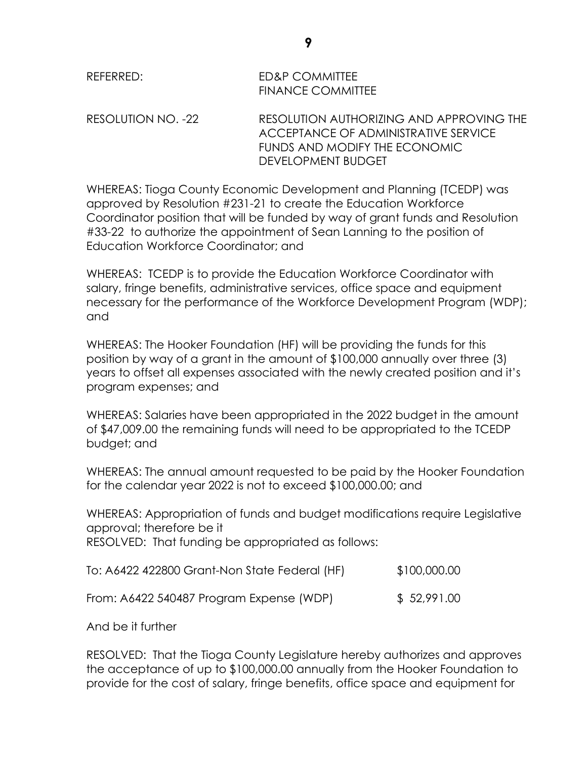# REFERRED: ED&P COMMITTEE FINANCE COMMITTEE

RESOLUTION NO. -22 RESOLUTION AUTHORIZING AND APPROVING THE ACCEPTANCE OF ADMINISTRATIVE SERVICE FUNDS AND MODIFY THE ECONOMIC DEVELOPMENT BUDGET

WHEREAS: Tioga County Economic Development and Planning (TCEDP) was approved by Resolution #231-21 to create the Education Workforce Coordinator position that will be funded by way of grant funds and Resolution #33-22 to authorize the appointment of Sean Lanning to the position of Education Workforce Coordinator; and

WHEREAS: TCEDP is to provide the Education Workforce Coordinator with salary, fringe benefits, administrative services, office space and equipment necessary for the performance of the Workforce Development Program (WDP); and

WHEREAS: The Hooker Foundation (HF) will be providing the funds for this position by way of a grant in the amount of \$100,000 annually over three (3) years to offset all expenses associated with the newly created position and it's program expenses; and

WHEREAS: Salaries have been appropriated in the 2022 budget in the amount of \$47,009.00 the remaining funds will need to be appropriated to the TCEDP budget; and

WHEREAS: The annual amount requested to be paid by the Hooker Foundation for the calendar year 2022 is not to exceed \$100,000.00; and

WHEREAS: Appropriation of funds and budget modifications require Legislative approval; therefore be it RESOLVED: That funding be appropriated as follows:

| To: A6422 422800 Grant-Non State Federal (HF) | \$100,000.00 |
|-----------------------------------------------|--------------|
|                                               |              |

From: A6422 540487 Program Expense (WDP) \$ 52,991.00

And be it further

RESOLVED: That the Tioga County Legislature hereby authorizes and approves the acceptance of up to \$100,000.00 annually from the Hooker Foundation to provide for the cost of salary, fringe benefits, office space and equipment for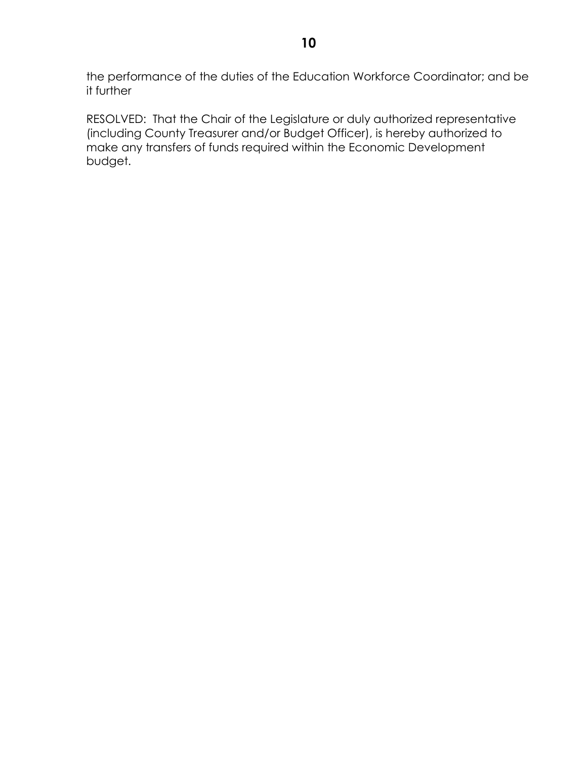the performance of the duties of the Education Workforce Coordinator; and be it further

RESOLVED: That the Chair of the Legislature or duly authorized representative (including County Treasurer and/or Budget Officer), is hereby authorized to make any transfers of funds required within the Economic Development budget.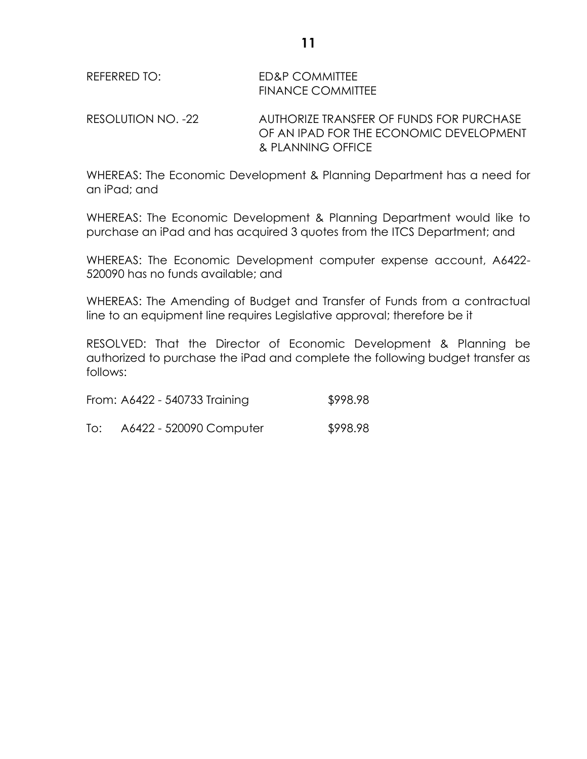REFERRED TO: ED&P COMMITTEE FINANCE COMMITTEE

RESOLUTION NO. -22 AUTHORIZE TRANSFER OF FUNDS FOR PURCHASE OF AN IPAD FOR THE ECONOMIC DEVELOPMENT & PLANNING OFFICE

WHEREAS: The Economic Development & Planning Department has a need for an iPad; and

WHEREAS: The Economic Development & Planning Department would like to purchase an iPad and has acquired 3 quotes from the ITCS Department; and

WHEREAS: The Economic Development computer expense account, A6422- 520090 has no funds available; and

WHEREAS: The Amending of Budget and Transfer of Funds from a contractual line to an equipment line requires Legislative approval; therefore be it

RESOLVED: That the Director of Economic Development & Planning be authorized to purchase the iPad and complete the following budget transfer as follows:

|  | From: A6422 - 540733 Training | \$998.98 |
|--|-------------------------------|----------|
|  |                               |          |

| To: | A6422 - 520090 Computer | \$998.98 |
|-----|-------------------------|----------|
|-----|-------------------------|----------|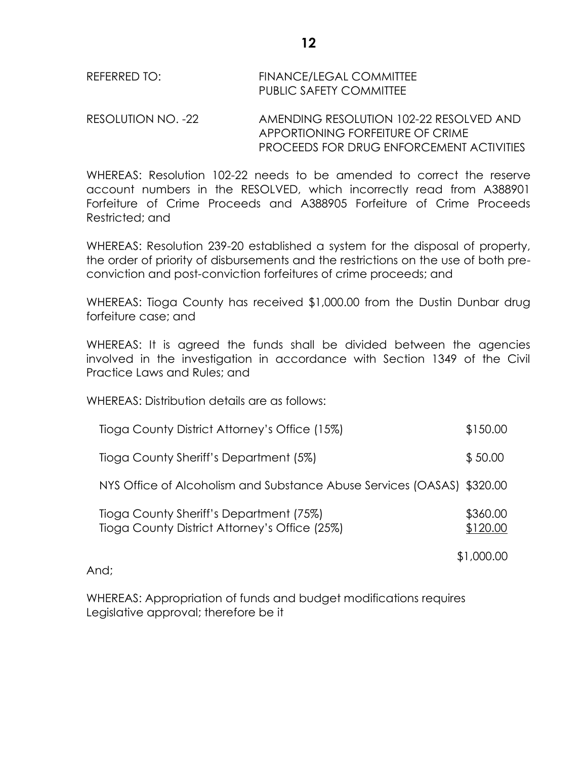| REFERRED TO: | <b>FINANCE/LEGAL COMMITTEE</b> |
|--------------|--------------------------------|
|              | <b>PUBLIC SAFETY COMMITTEE</b> |

RESOLUTION NO. -22 AMENDING RESOLUTION 102-22 RESOLVED AND APPORTIONING FORFEITURE OF CRIME PROCEEDS FOR DRUG ENFORCEMENT ACTIVITIES

WHEREAS: Resolution 102-22 needs to be amended to correct the reserve account numbers in the RESOLVED, which incorrectly read from A388901 Forfeiture of Crime Proceeds and A388905 Forfeiture of Crime Proceeds Restricted; and

WHEREAS: Resolution 239-20 established a system for the disposal of property, the order of priority of disbursements and the restrictions on the use of both preconviction and post-conviction forfeitures of crime proceeds; and

WHEREAS: Tioga County has received \$1,000.00 from the Dustin Dunbar drug forfeiture case; and

WHEREAS: It is agreed the funds shall be divided between the agencies involved in the investigation in accordance with Section 1349 of the Civil Practice Laws and Rules; and

WHEREAS: Distribution details are as follows:

| Tioga County District Attorney's Office (15%)                                            | \$150.00             |
|------------------------------------------------------------------------------------------|----------------------|
| Tioga County Sheriff's Department (5%)                                                   | \$50.00              |
| NYS Office of Alcoholism and Substance Abuse Services (OASAS) \$320.00                   |                      |
| Tioga County Sheriff's Department (75%)<br>Tioga County District Attorney's Office (25%) | \$360.00<br>\$120.00 |
|                                                                                          | \$1,000.00           |

And;

WHEREAS: Appropriation of funds and budget modifications requires Legislative approval; therefore be it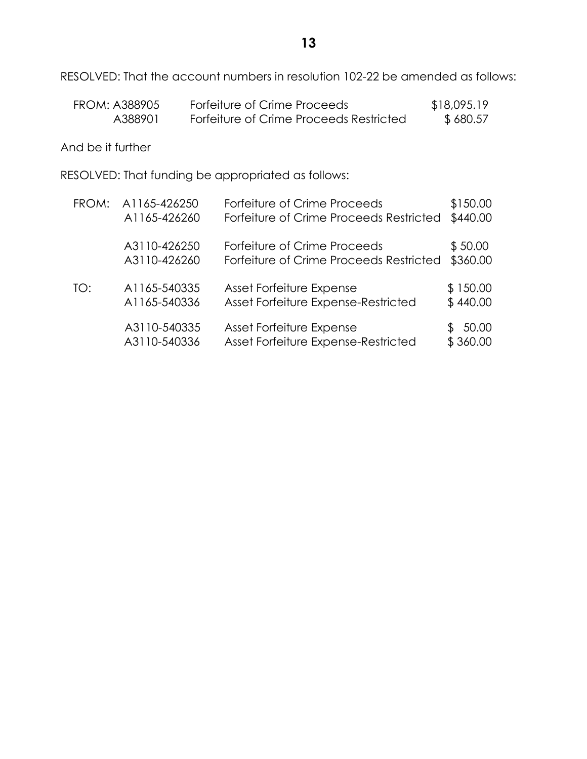RESOLVED: That the account numbers in resolution 102-22 be amended as follows:

| FROM: A388905 | Forfeiture of Crime Proceeds            | \$18,095.19 |
|---------------|-----------------------------------------|-------------|
| A388901       | Forfeiture of Crime Proceeds Restricted | \$680.57    |

And be it further

RESOLVED: That funding be appropriated as follows:

| FROM: | A1165-426250                 | Forfeiture of Crime Proceeds                                    | \$150.00                |
|-------|------------------------------|-----------------------------------------------------------------|-------------------------|
|       | A1165-426260                 | Forfeiture of Crime Proceeds Restricted                         | \$440.00                |
|       | A3110-426250                 | Forfeiture of Crime Proceeds                                    | \$50.00                 |
|       | A3110-426260                 | Forfeiture of Crime Proceeds Restricted                         | \$360.00                |
| TO:   | A1165-540335                 | Asset Forfeiture Expense                                        | \$150.00                |
|       | A1165-540336                 | Asset Forfeiture Expense-Restricted                             | \$440.00                |
|       | A3110-540335<br>A3110-540336 | Asset Forfeiture Expense<br>Asset Forfeiture Expense-Restricted | 50.00<br>æ.<br>\$360.00 |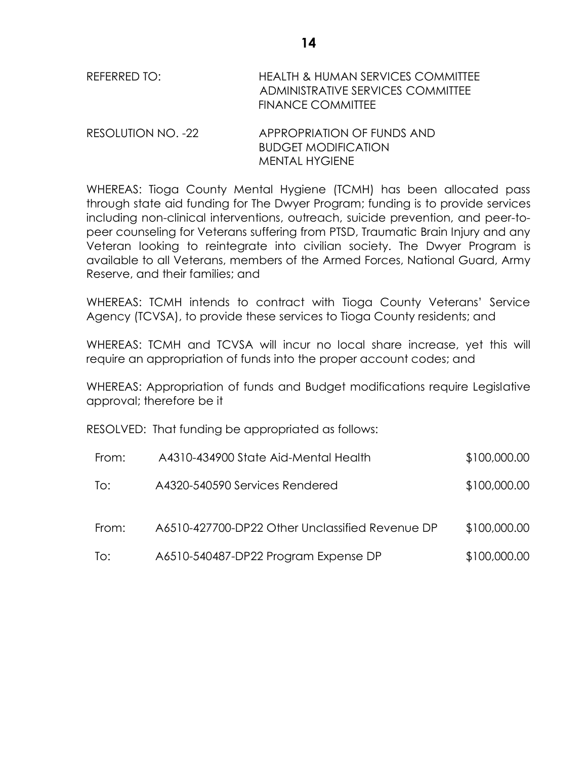| REFERRED TO:       | <b>HEALTH &amp; HUMAN SERVICES COMMITTEE</b><br>ADMINISTRATIVE SERVICES COMMITTEE<br><b>FINANCE COMMITTEE</b> |
|--------------------|---------------------------------------------------------------------------------------------------------------|
| DECOIIITION NLO 22 | ADDDODDIATIONI OE EIINING ANIN                                                                                |

RESOLUTION NO. -22 APPROPRIATION OF FUNDS AND BUDGET MODIFICATION MENTAL HYGIENE

WHEREAS: Tioga County Mental Hygiene (TCMH) has been allocated pass through state aid funding for The Dwyer Program; funding is to provide services including non-clinical interventions, outreach, suicide prevention, and peer-topeer counseling for Veterans suffering from PTSD, Traumatic Brain Injury and any Veteran looking to reintegrate into civilian society. The Dwyer Program is available to all Veterans, members of the Armed Forces, National Guard, Army Reserve, and their families; and

WHEREAS: TCMH intends to contract with Tioga County Veterans' Service Agency (TCVSA), to provide these services to Tioga County residents; and

WHEREAS: TCMH and TCVSA will incur no local share increase, yet this will require an appropriation of funds into the proper account codes; and

WHEREAS: Appropriation of funds and Budget modifications require Legislative approval; therefore be it

RESOLVED: That funding be appropriated as follows:

| From: | A4310-434900 State Aid-Mental Health            | \$100,000.00 |
|-------|-------------------------------------------------|--------------|
| To:   | A4320-540590 Services Rendered                  | \$100,000.00 |
| From: | A6510-427700-DP22 Other Unclassified Revenue DP | \$100,000.00 |
| To:   | A6510-540487-DP22 Program Expense DP            | \$100,000.00 |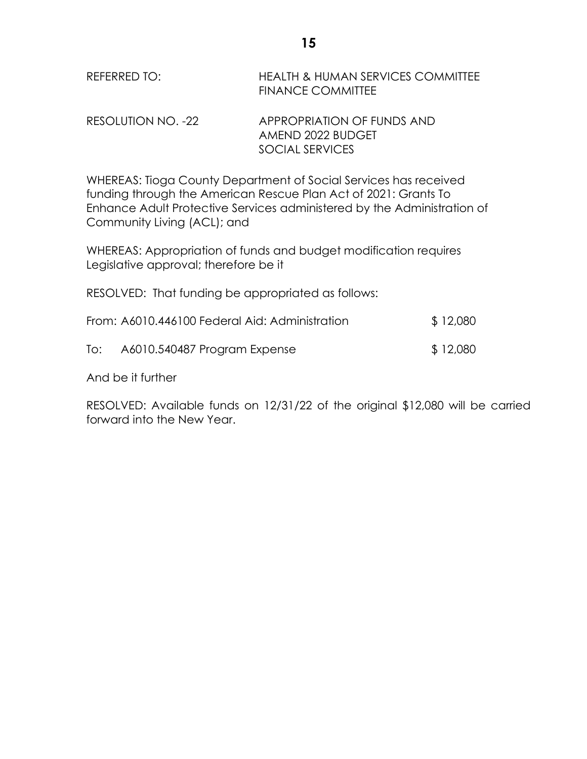| REFERRED TO: | <b>HEALTH &amp; HUMAN SERVICES COMMITTEE</b> |
|--------------|----------------------------------------------|
|              | <b>FINANCE COMMITTEE</b>                     |

RESOLUTION NO. -22 APPROPRIATION OF FUNDS AND AMEND 2022 BUDGET SOCIAL SERVICES

WHEREAS: Tioga County Department of Social Services has received funding through the American Rescue Plan Act of 2021: Grants To Enhance Adult Protective Services administered by the Administration of Community Living (ACL); and

WHEREAS: Appropriation of funds and budget modification requires Legislative approval; therefore be it

RESOLVED: That funding be appropriated as follows:

|     | From: A6010.446100 Federal Aid: Administration | \$12,080 |
|-----|------------------------------------------------|----------|
| To: | A6010.540487 Program Expense                   | \$12,080 |

And be it further

RESOLVED: Available funds on 12/31/22 of the original \$12,080 will be carried forward into the New Year.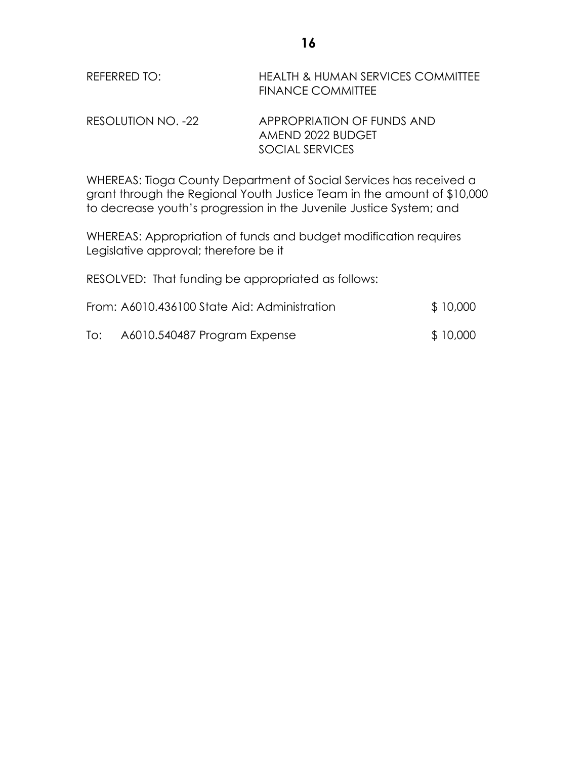| REFERRED TO: | <b>HEALTH &amp; HUMAN SERVICES COMMITTEE</b> |
|--------------|----------------------------------------------|
|              | <b>FINANCE COMMITTEE</b>                     |

RESOLUTION NO. -22 APPROPRIATION OF FUNDS AND AMEND 2022 BUDGET SOCIAL SERVICES

WHEREAS: Tioga County Department of Social Services has received a grant through the Regional Youth Justice Team in the amount of \$10,000 to decrease youth's progression in the Juvenile Justice System; and

WHEREAS: Appropriation of funds and budget modification requires Legislative approval; therefore be it

RESOLVED: That funding be appropriated as follows:

|     | From: A6010.436100 State Aid: Administration | \$10,000 |
|-----|----------------------------------------------|----------|
| To: | A6010.540487 Program Expense                 | \$10,000 |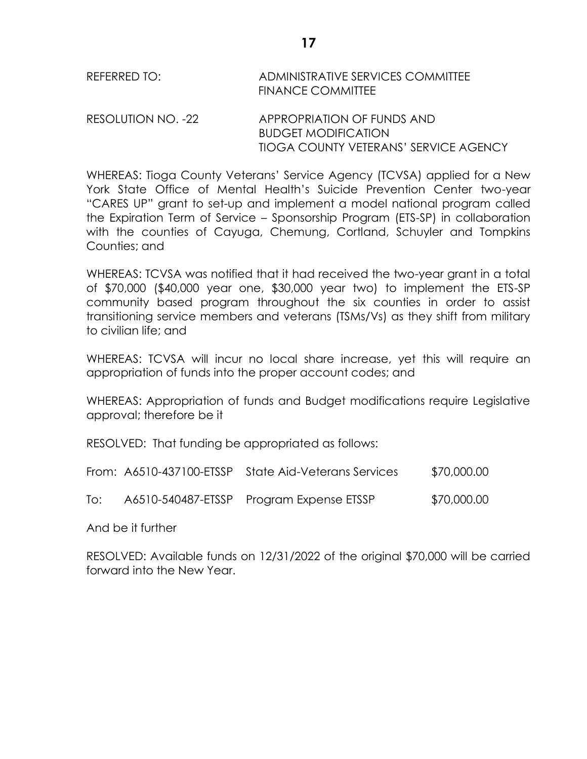| REFERRED TO: | ADMINISTRATIVE SERVICES COMMITTEE |
|--------------|-----------------------------------|
|              | <b>FINANCE COMMITTEE</b>          |
|              |                                   |

RESOLUTION NO. -22 APPROPRIATION OF FUNDS AND BUDGET MODIFICATION TIOGA COUNTY VETERANS' SERVICE AGENCY

WHEREAS: Tioga County Veterans' Service Agency (TCVSA) applied for a New York State Office of Mental Health's Suicide Prevention Center two-year "CARES UP" grant to set-up and implement a model national program called the Expiration Term of Service – Sponsorship Program (ETS-SP) in collaboration with the counties of Cayuga, Chemung, Cortland, Schuyler and Tompkins Counties; and

WHEREAS: TCVSA was notified that it had received the two-year grant in a total of \$70,000 (\$40,000 year one, \$30,000 year two) to implement the ETS-SP community based program throughout the six counties in order to assist transitioning service members and veterans (TSMs/Vs) as they shift from military to civilian life; and

WHEREAS: TCVSA will incur no local share increase, yet this will require an appropriation of funds into the proper account codes; and

WHEREAS: Appropriation of funds and Budget modifications require Legislative approval; therefore be it

RESOLVED: That funding be appropriated as follows:

|  | From: A6510-437100-ETSSP State Aid-Veterans Services | \$70,000.00 |
|--|------------------------------------------------------|-------------|
|  |                                                      |             |

To: A6510-540487-ETSSP Program Expense ETSSP \$70,000.00

And be it further

RESOLVED: Available funds on 12/31/2022 of the original \$70,000 will be carried forward into the New Year.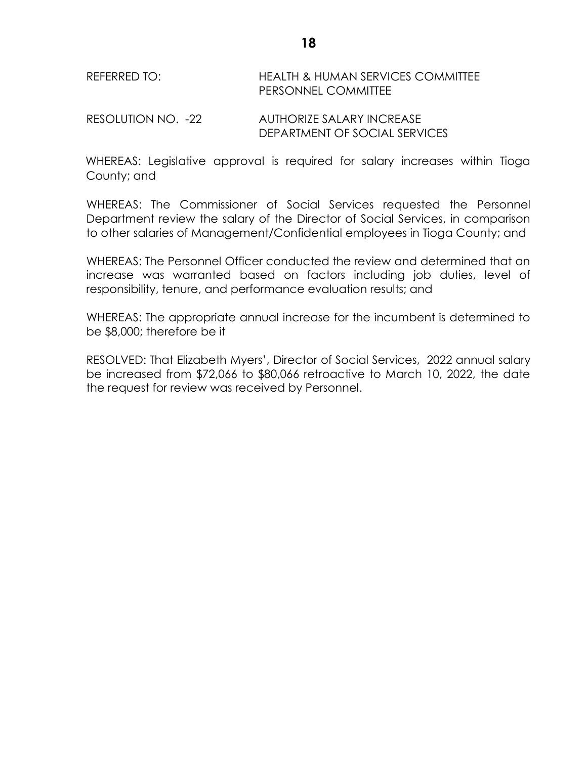# REFERRED TO: HEALTH & HUMAN SERVICES COMMITTEE PERSONNEL COMMITTEE

RESOLUTION NO. -22 AUTHORIZE SALARY INCREASE DEPARTMENT OF SOCIAL SERVICES

WHEREAS: Legislative approval is required for salary increases within Tioga County; and

WHEREAS: The Commissioner of Social Services requested the Personnel Department review the salary of the Director of Social Services, in comparison to other salaries of Management/Confidential employees in Tioga County; and

WHEREAS: The Personnel Officer conducted the review and determined that an increase was warranted based on factors including job duties, level of responsibility, tenure, and performance evaluation results; and

WHEREAS: The appropriate annual increase for the incumbent is determined to be \$8,000; therefore be it

RESOLVED: That Elizabeth Myers', Director of Social Services, 2022 annual salary be increased from \$72,066 to \$80,066 retroactive to March 10, 2022, the date the request for review was received by Personnel.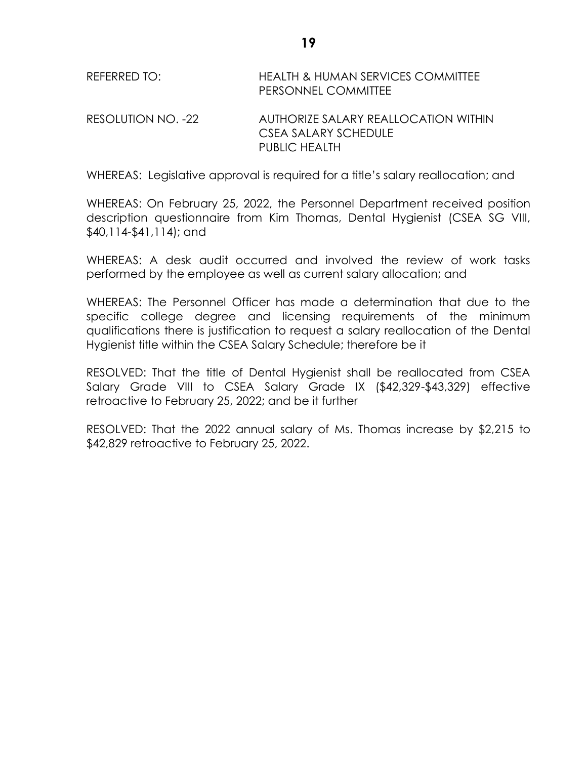| REFERRED TO:       | <b>HEALTH &amp; HUMAN SERVICES COMMITTEE</b><br>PERSONNEL COMMITTEE |
|--------------------|---------------------------------------------------------------------|
| RESOLUTION NO. -22 | AUTHORIZE SALARY REALLOCATION WITHIN<br>CSEA SALARY SCHEDULE        |
|                    | PUBLIC HEALTH                                                       |

WHEREAS: Legislative approval is required for a title's salary reallocation; and

WHEREAS: On February 25, 2022, the Personnel Department received position description questionnaire from Kim Thomas, Dental Hygienist (CSEA SG VIII, \$40,114-\$41,114); and

WHEREAS: A desk audit occurred and involved the review of work tasks performed by the employee as well as current salary allocation; and

WHEREAS: The Personnel Officer has made a determination that due to the specific college degree and licensing requirements of the minimum qualifications there is justification to request a salary reallocation of the Dental Hygienist title within the CSEA Salary Schedule; therefore be it

RESOLVED: That the title of Dental Hygienist shall be reallocated from CSEA Salary Grade VIII to CSEA Salary Grade IX (\$42,329-\$43,329) effective retroactive to February 25, 2022; and be it further

RESOLVED: That the 2022 annual salary of Ms. Thomas increase by \$2,215 to \$42,829 retroactive to February 25, 2022.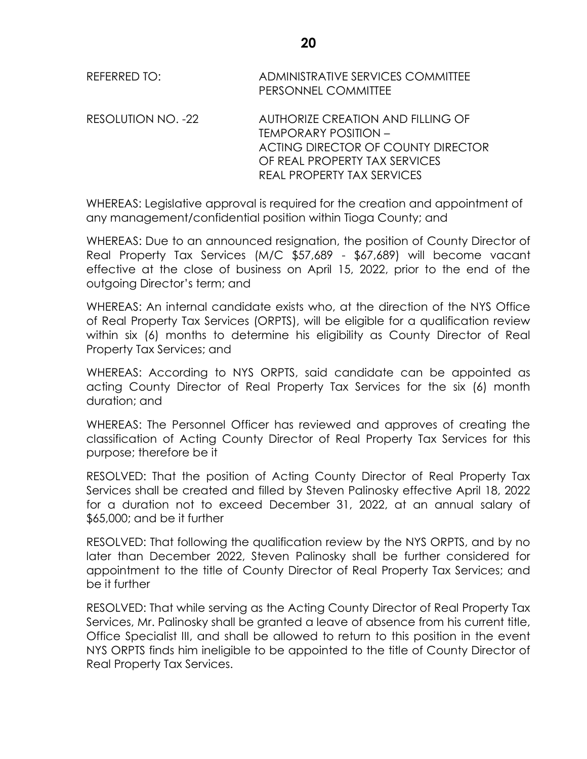| REFERRED TO: | ADMINISTRATIVE SERVICES COMMITTEE |
|--------------|-----------------------------------|
|              | PERSONNEL COMMITTEE               |

RESOLUTION NO. -22 AUTHORIZE CREATION AND FILLING OF TEMPORARY POSITION – ACTING DIRECTOR OF COUNTY DIRECTOR OF REAL PROPERTY TAX SERVICES REAL PROPERTY TAX SERVICES

WHEREAS: Legislative approval is required for the creation and appointment of any management/confidential position within Tioga County; and

WHEREAS: Due to an announced resignation, the position of County Director of Real Property Tax Services (M/C \$57,689 - \$67,689) will become vacant effective at the close of business on April 15, 2022, prior to the end of the outgoing Director's term; and

WHEREAS: An internal candidate exists who, at the direction of the NYS Office of Real Property Tax Services (ORPTS), will be eligible for a qualification review within six (6) months to determine his eligibility as County Director of Real Property Tax Services; and

WHEREAS: According to NYS ORPTS, said candidate can be appointed as acting County Director of Real Property Tax Services for the six (6) month duration; and

WHEREAS: The Personnel Officer has reviewed and approves of creating the classification of Acting County Director of Real Property Tax Services for this purpose; therefore be it

RESOLVED: That the position of Acting County Director of Real Property Tax Services shall be created and filled by Steven Palinosky effective April 18, 2022 for a duration not to exceed December 31, 2022, at an annual salary of \$65,000; and be it further

RESOLVED: That following the qualification review by the NYS ORPTS, and by no later than December 2022, Steven Palinosky shall be further considered for appointment to the title of County Director of Real Property Tax Services; and be it further

RESOLVED: That while serving as the Acting County Director of Real Property Tax Services, Mr. Palinosky shall be granted a leave of absence from his current title, Office Specialist III, and shall be allowed to return to this position in the event NYS ORPTS finds him ineligible to be appointed to the title of County Director of Real Property Tax Services.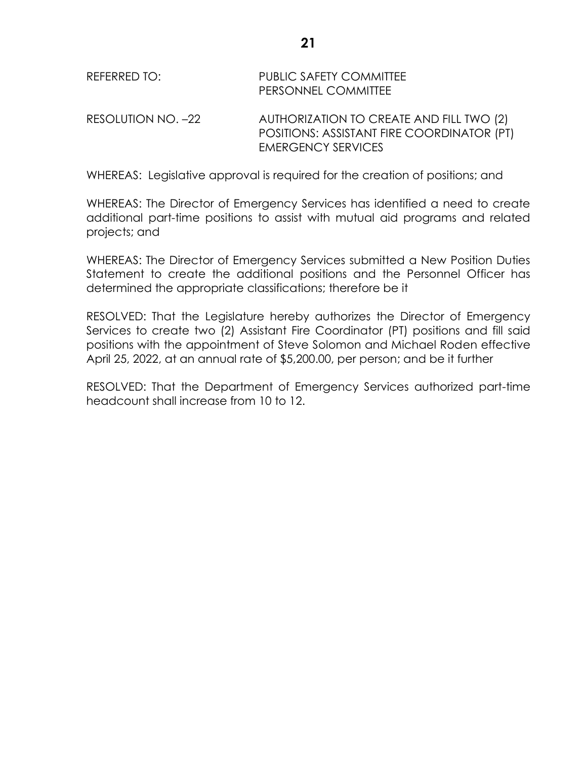| REFERRED TO:       | PUBLIC SAFETY COMMITTEE<br>PERSONNEL COMMITTEE                                                                      |
|--------------------|---------------------------------------------------------------------------------------------------------------------|
| RESOLUTION NO. -22 | AUTHORIZATION TO CREATE AND FILL TWO (2)<br>POSITIONS: ASSISTANT FIRE COORDINATOR (PT)<br><b>EMERGENCY SERVICES</b> |

WHEREAS: Legislative approval is required for the creation of positions; and

WHEREAS: The Director of Emergency Services has identified a need to create additional part-time positions to assist with mutual aid programs and related projects; and

WHEREAS: The Director of Emergency Services submitted a New Position Duties Statement to create the additional positions and the Personnel Officer has determined the appropriate classifications; therefore be it

RESOLVED: That the Legislature hereby authorizes the Director of Emergency Services to create two (2) Assistant Fire Coordinator (PT) positions and fill said positions with the appointment of Steve Solomon and Michael Roden effective April 25, 2022, at an annual rate of \$5,200.00, per person; and be it further

RESOLVED: That the Department of Emergency Services authorized part-time headcount shall increase from 10 to 12.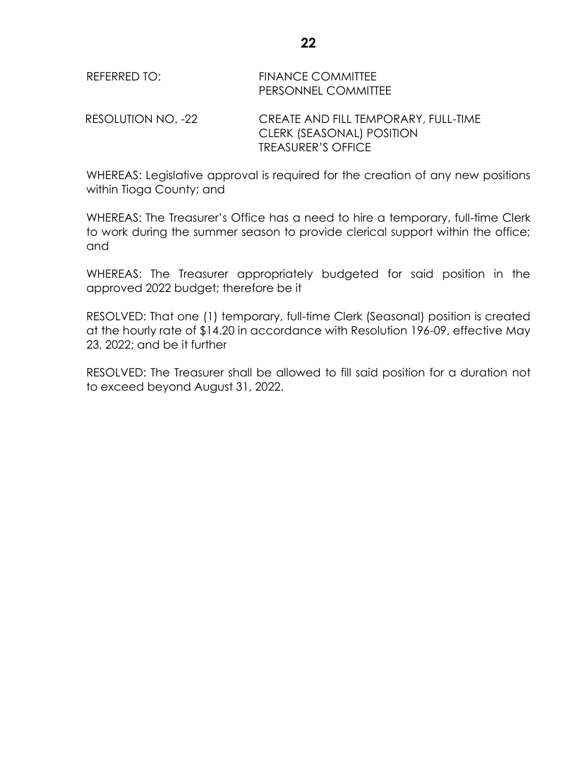| REFERRED TO:       | <b>FINANCE COMMITTEE</b><br>PERSONNEL COMMITTEE                                                |
|--------------------|------------------------------------------------------------------------------------------------|
| RESOLUTION NO. -22 | CREATE AND FILL TEMPORARY, FULL-TIME<br>CLERK (SEASONAL) POSITION<br><b>TREASURER'S OFFICE</b> |

WHEREAS: Legislative approval is required for the creation of any new positions within Tioga County; and

WHEREAS: The Treasurer's Office has a need to hire a temporary, full-time Clerk to work during the summer season to provide clerical support within the office; and

WHEREAS: The Treasurer appropriately budgeted for said position in the approved 2022 budget; therefore be it

RESOLVED: That one (1) temporary, full-time Clerk (Seasonal) position is created at the hourly rate of \$14.20 in accordance with Resolution 196-09, effective May 23, 2022; and be it further

RESOLVED: The Treasurer shall be allowed to fill said position for a duration not to exceed beyond August 31, 2022.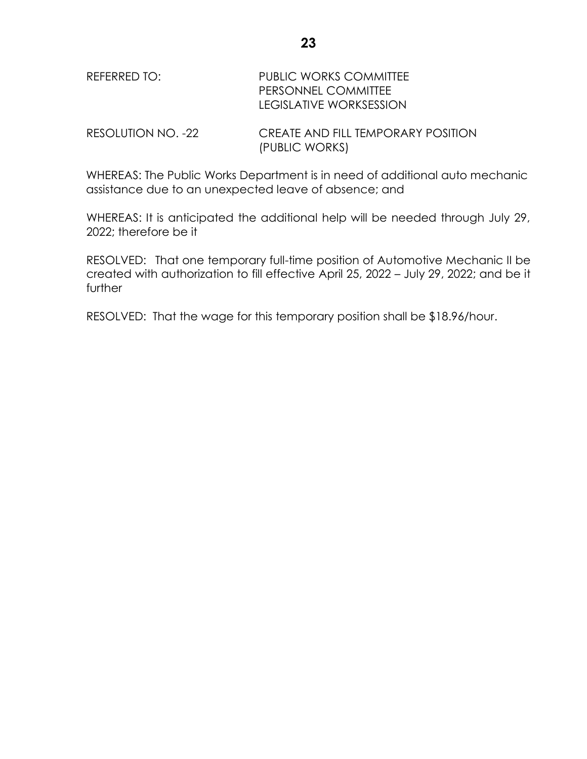| REFERRED TO: | <b>PUBLIC WORKS COMMITTEE</b> |
|--------------|-------------------------------|
|              | <b>PERSONNEL COMMITTEE</b>    |
|              | LEGISLATIVE WORKSESSION       |
|              |                               |

RESOLUTION NO. -22 CREATE AND FILL TEMPORARY POSITION (PUBLIC WORKS)

WHEREAS: The Public Works Department is in need of additional auto mechanic assistance due to an unexpected leave of absence; and

WHEREAS: It is anticipated the additional help will be needed through July 29, 2022; therefore be it

RESOLVED: That one temporary full-time position of Automotive Mechanic II be created with authorization to fill effective April 25, 2022 – July 29, 2022; and be it further

RESOLVED: That the wage for this temporary position shall be \$18.96/hour.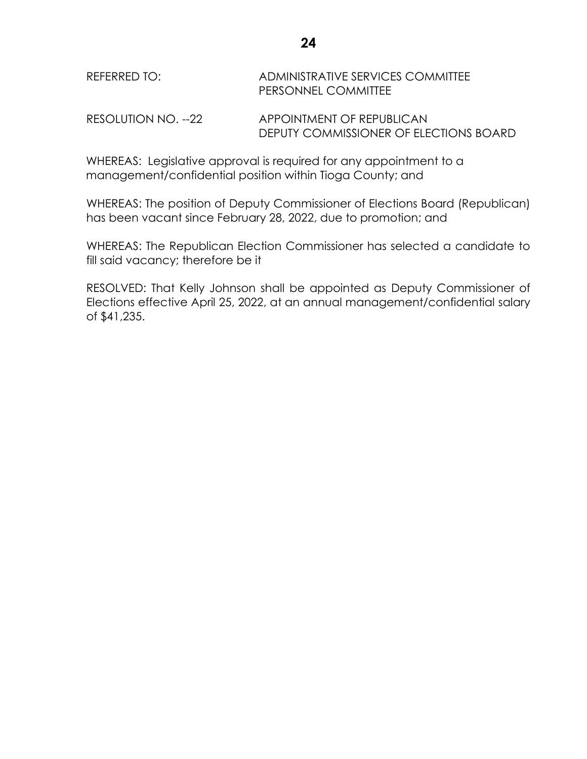| REFERRED TO: | ADMINISTRATIVE SERVICES COMMITTEE |
|--------------|-----------------------------------|
|              | PERSONNEL COMMITTEE               |
|              |                                   |

RESOLUTION NO. --22 APPOINTMENT OF REPUBLICAN DEPUTY COMMISSIONER OF ELECTIONS BOARD

WHEREAS: Legislative approval is required for any appointment to a management/confidential position within Tioga County; and

WHEREAS: The position of Deputy Commissioner of Elections Board (Republican) has been vacant since February 28, 2022, due to promotion; and

WHEREAS: The Republican Election Commissioner has selected a candidate to fill said vacancy; therefore be it

RESOLVED: That Kelly Johnson shall be appointed as Deputy Commissioner of Elections effective April 25, 2022, at an annual management/confidential salary of \$41,235.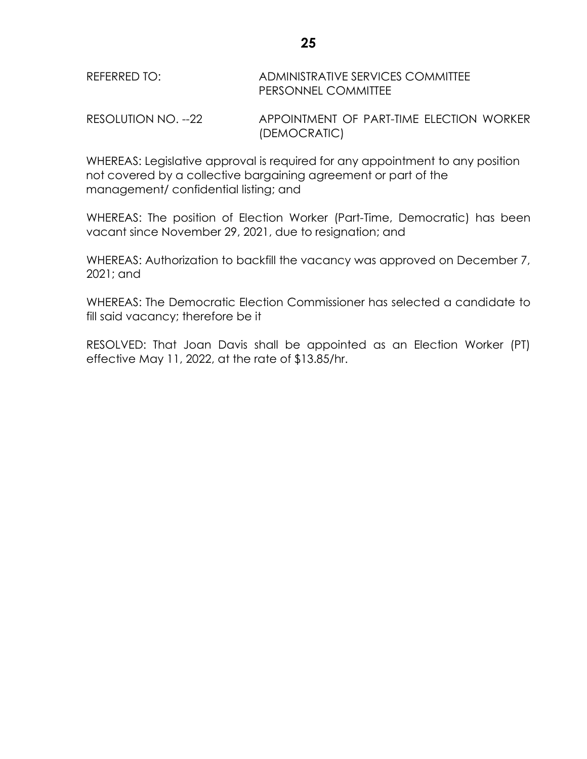| REFERRED TO: | ADMINISTRATIVE SERVICES COMMITTEE |
|--------------|-----------------------------------|
|              | <b>PERSONNEL COMMITTEE</b>        |
|              |                                   |

RESOLUTION NO. --22 APPOINTMENT OF PART-TIME ELECTION WORKER (DEMOCRATIC)

WHEREAS: Legislative approval is required for any appointment to any position not covered by a collective bargaining agreement or part of the management/ confidential listing; and

WHEREAS: The position of Election Worker (Part-Time, Democratic) has been vacant since November 29, 2021, due to resignation; and

WHEREAS: Authorization to backfill the vacancy was approved on December 7, 2021; and

WHEREAS: The Democratic Election Commissioner has selected a candidate to fill said vacancy; therefore be it

RESOLVED: That Joan Davis shall be appointed as an Election Worker (PT) effective May 11, 2022, at the rate of \$13.85/hr.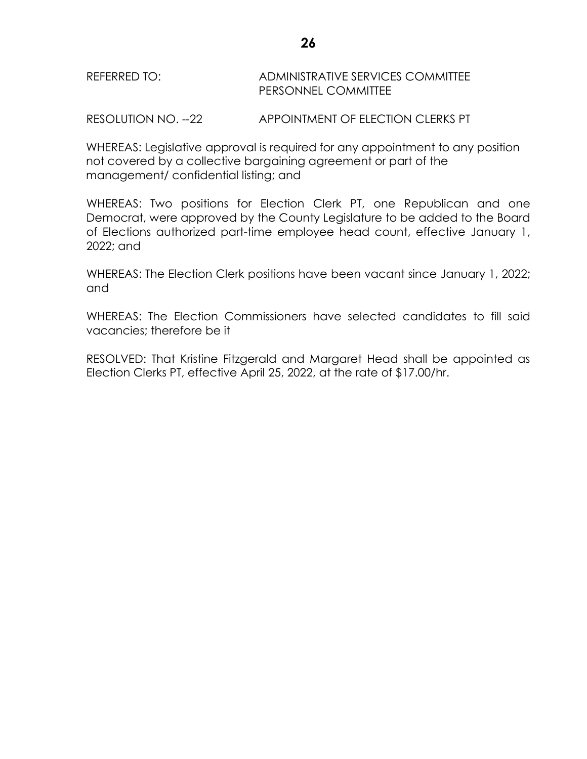| REFERRED TO: | ADMINISTRATIVE SERVICES COMMITTEE |
|--------------|-----------------------------------|
|              | PERSONNEL COMMITTEE               |

RESOLUTION NO. --22 APPOINTMENT OF ELECTION CLERKS PT

WHEREAS: Legislative approval is required for any appointment to any position not covered by a collective bargaining agreement or part of the management/ confidential listing; and

WHEREAS: Two positions for Election Clerk PT, one Republican and one Democrat, were approved by the County Legislature to be added to the Board of Elections authorized part-time employee head count, effective January 1, 2022; and

WHEREAS: The Election Clerk positions have been vacant since January 1, 2022; and

WHEREAS: The Election Commissioners have selected candidates to fill said vacancies; therefore be it

RESOLVED: That Kristine Fitzgerald and Margaret Head shall be appointed as Election Clerks PT, effective April 25, 2022, at the rate of \$17.00/hr.